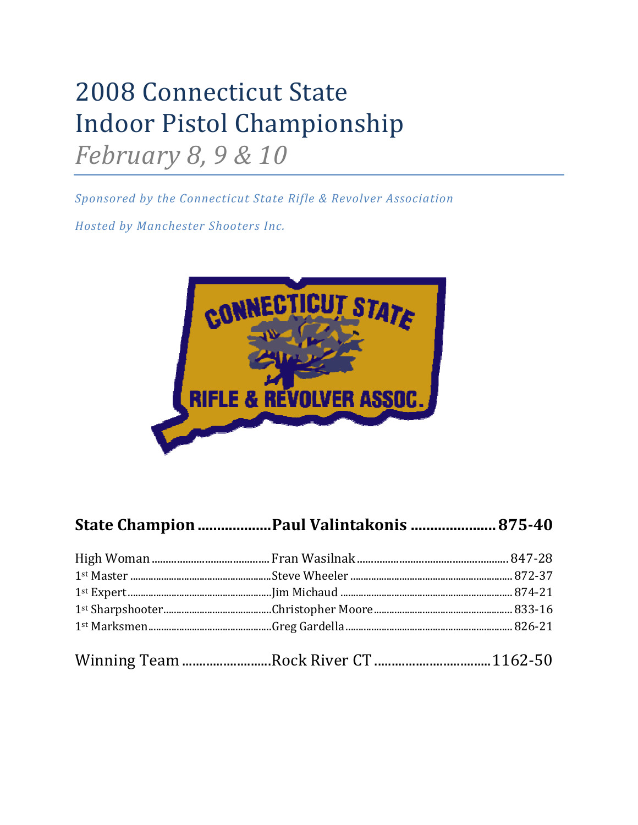## 2008 Connecticut State Indoor Pistol Championship *February 8, 9 & 10*

*Sponsored by the Connecticut State Rifle & Revolver Association*

*Hosted by Manchester Shooters Inc.*



## **State Champion...................Paul Valintakonis ......................87540**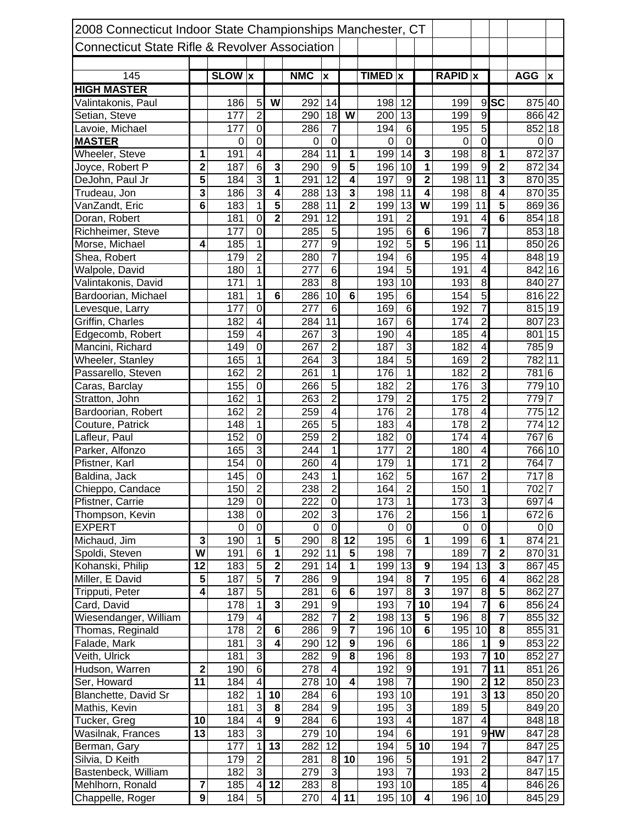| 2008 Connecticut Indoor State Championships Manchester, CT |                         |                  |                         |                         |                  |                           |                         |             |                         |                         |                  |                          |                         |                  |                    |
|------------------------------------------------------------|-------------------------|------------------|-------------------------|-------------------------|------------------|---------------------------|-------------------------|-------------|-------------------------|-------------------------|------------------|--------------------------|-------------------------|------------------|--------------------|
|                                                            |                         |                  |                         |                         |                  |                           |                         |             |                         |                         |                  |                          |                         |                  |                    |
| <b>Connecticut State Rifle &amp; Revolver Association</b>  |                         |                  |                         |                         |                  |                           |                         |             |                         |                         |                  |                          |                         |                  |                    |
|                                                            |                         |                  |                         |                         |                  |                           |                         |             |                         |                         |                  |                          |                         |                  |                    |
| 145                                                        |                         | <b>SLOW</b> x    |                         |                         | <b>NMC</b>       | $\boldsymbol{\mathsf{x}}$ |                         | TIMED x     |                         |                         | <b>RAPID</b> x   |                          |                         | <b>AGG</b>       | $\pmb{\mathsf{x}}$ |
| <b>HIGH MASTER</b>                                         |                         |                  |                         |                         |                  |                           |                         |             |                         |                         |                  |                          |                         |                  |                    |
| Valintakonis, Paul                                         |                         | 186              | 5                       | W                       | 292              | 14                        |                         | 198         | 12                      |                         | 199              | $\overline{9}$           | $ \overline{sc} $       | 875 40           |                    |
| Setian, Steve                                              |                         | 177              | $\overline{2}$          |                         | 290              | 18                        | W                       | 200         | $\overline{13}$         |                         | 199              | 9                        |                         | 866 42           |                    |
| Lavoie, Michael                                            |                         | 177              | $\mathbf 0$             |                         | 286              | $\overline{7}$            |                         | 194         | $\sigma$                |                         | 195              | $\overline{5}$           |                         | 852 18           |                    |
| <b>MASTER</b>                                              |                         | 0                | $\overline{0}$          |                         | $\Omega$         | $\mathbf 0$               |                         | 0           | $\overline{0}$          |                         | $\mathbf 0$      | $\overline{0}$           |                         | 0                | $\overline{0}$     |
| Wheeler, Steve                                             | 1                       | 191              | $\overline{4}$          |                         | 284              | 11                        | 1                       | 199         | 14                      | 3                       | 198              | $\overline{8}$           | 1                       | 872              | 37                 |
| Joyce, Robert P                                            | $\overline{2}$          | 187              | $\overline{6}$          | $\mathbf{3}$            | 290              | 9                         | $\overline{\mathbf{5}}$ | 196         | 10                      | 1                       | 199              | $\overline{9}$           | $\overline{\mathbf{2}}$ | 872              | 34                 |
| DeJohn, Paul Jr                                            | $\overline{5}$          | 184              | 3                       | $\overline{\mathbf{1}}$ | 291              | $\overline{12}$           | $\overline{\bf{4}}$     | 197         | $\boldsymbol{9}$        | $\overline{\mathbf{2}}$ | 198              | 11                       | $\overline{\mathbf{3}}$ | 870 35           |                    |
| Trudeau, Jon                                               | $\overline{\mathbf{3}}$ | 186              | 3                       | $\overline{\mathbf{4}}$ | 288              | 13                        | 3                       | 198         | 11                      | 4                       | 198              | 8                        | $\overline{\mathbf{4}}$ | 870 35           |                    |
| VanZandt, Eric                                             | $6\phantom{1}$          | 183              | 1                       | $\overline{\mathbf{5}}$ | 288              | 11                        | $\overline{\mathbf{2}}$ | 199         | 13                      | W                       | 199              | 11                       | $\overline{\mathbf{5}}$ | 869 36           |                    |
| Doran, Robert                                              |                         | 181              | $\mathbf 0$             | $\overline{\mathbf{2}}$ | 291              | 12                        |                         | 191         | $\overline{2}$          |                         | 191              | 4                        | 6                       | 854 18           |                    |
| Richheimer, Steve                                          |                         | 177              | $\mathbf 0$             |                         | 285              | 5                         |                         | 195         | 6                       | 6                       | 196              | 7                        |                         | 853 18           |                    |
| Morse, Michael                                             | 4                       | 185              | $\overline{1}$          |                         | 277              | $\overline{9}$            |                         | 192         | 5                       | $\overline{\mathbf{5}}$ | 196              | 11                       |                         | 850 26           |                    |
| Shea, Robert                                               |                         | 179              | $\overline{2}$          |                         | 280              | $\overline{7}$            |                         | 194         | 6                       |                         | 195              | $\overline{\mathcal{A}}$ |                         | 848 19           |                    |
| Walpole, David                                             |                         | 180              | $\overline{1}$          |                         | 277              | 6                         |                         | 194         | 5                       |                         | 191              | 4                        |                         | 842 16           |                    |
| Valintakonis, David                                        |                         | 171              | $\overline{1}$          |                         | 283              | $\overline{8}$            |                         | 193         | 10                      |                         | 193              | $\overline{8}$           |                         | 840 27           |                    |
| Bardoorian, Michael                                        |                         | 181              | $\overline{1}$          | 6                       | 286              | 10                        | $6\phantom{1}6$         | 195         | $\overline{6}$          |                         | 154              | $\overline{5}$           |                         | 816 22           |                    |
| Levesque, Larry                                            |                         | $\overline{177}$ | $\overline{0}$          |                         | $\overline{277}$ | $\overline{6}$            |                         | 169         | 6                       |                         | 192              | $\overline{7}$           |                         | 815 19           |                    |
| Griffin, Charles                                           |                         | $\overline{182}$ | $\overline{4}$          |                         | 284              | $\overline{11}$           |                         | 167         | 6                       |                         | 174              | $\overline{2}$           |                         | 807              | 23                 |
| Edgecomb, Robert                                           |                         | 159              | 4                       |                         | 267              | 3                         |                         | 190         | $\overline{\mathbf{4}}$ |                         | 185              | $\overline{4}$           |                         | 801              | 15                 |
| Mancini, Richard                                           |                         | 149              | $\overline{0}$          |                         | 267              | $\overline{2}$            |                         | 187         | $\overline{3}$          |                         | 182              | 4                        |                         | 785 9            |                    |
| Wheeler, Stanley                                           |                         | 165              | $\overline{1}$          |                         | 264              | $\overline{3}$            |                         | 184         | $\overline{5}$          |                         | 169              | $\overline{2}$           |                         | 782 11           |                    |
| Passarello, Steven                                         |                         | 162              | $\overline{2}$          |                         | 261              | $\mathbf 1$               |                         | 176         | $\overline{1}$          |                         | 182              | $\overline{2}$           |                         | 781              | $6\phantom{1}6$    |
| Caras, Barclay                                             |                         | 155              | $\overline{0}$          |                         | 266              | $\overline{5}$            |                         | 182         | $\overline{2}$          |                         | 176              | $\overline{3}$           |                         | 779 10           |                    |
| Stratton, John                                             |                         | 162              | $\overline{1}$          |                         | 263              | $\overline{2}$            |                         | 179         | $\overline{2}$          |                         | 175              | $\overline{2}$           |                         | 7797             |                    |
| Bardoorian, Robert                                         |                         | 162              | $\overline{2}$          |                         | 259              | $\overline{\mathbf{4}}$   |                         | 176         | $\overline{2}$          |                         | 178              | $\overline{4}$           |                         | 775 12           |                    |
|                                                            |                         |                  | $\overline{1}$          |                         | 265              | $\overline{5}$            |                         | 183         | $\overline{4}$          |                         | 178              | $\overline{2}$           |                         |                  | 12                 |
| Couture, Patrick                                           |                         | 148<br>152       | $\mathbf 0$             |                         | 259              | $\overline{2}$            |                         | 182         | O                       |                         | 174              |                          |                         | 774<br>767       | $6\phantom{1}6$    |
| Lafleur, Paul                                              |                         |                  | 3                       |                         |                  |                           |                         |             |                         |                         |                  | 4                        |                         |                  |                    |
| Parker, Alfonzo                                            |                         | 165              |                         |                         | 244              | $\mathbf{1}$              |                         | 177         | $\overline{2}$          |                         | 180              | $\overline{\mathbf{4}}$  |                         | 766 10           |                    |
| Pfistner, Karl                                             |                         | 154              | $\overline{0}$          |                         | 260              | $\overline{\mathbf{4}}$   |                         | 179         | 1                       |                         | 171              | $\overline{c}$           |                         | 764              | $\overline{7}$     |
| Baldina, Jack                                              |                         | 145              | $\overline{0}$          |                         | 243              | $\mathbf{1}$              |                         | 162         | 5                       |                         | 167              | $\overline{2}$           |                         | $\overline{7}17$ | $\boldsymbol{8}$   |
| Chieppo, Candace                                           |                         | 150              | $\overline{2}$          |                         | 238              | $\mathbf{2}$              |                         | 164         | $\overline{2}$          |                         | 150              | 1 <sup>1</sup>           |                         | 702 7            |                    |
| Pfistner, Carrie                                           |                         | 129              | $\overline{0}$          |                         | 222              | $\overline{0}$            |                         | 173         | $\overline{1}$          |                         | 173              | $\overline{3}$           |                         | 697 4            |                    |
| Thompson, Kevin                                            |                         | 138              | $\overline{0}$          |                         | 202              | 3                         |                         | 176         | $\overline{2}$          |                         | 156              | $\mathbf 1$              |                         | 672 6            |                    |
| <b>EXPERT</b>                                              |                         | 0                | $\overline{0}$          |                         | 0                | $\overline{0}$            |                         | $\mathbf 0$ | $\overline{0}$          |                         | 0                | $\overline{0}$           |                         |                  | 0 0                |
| Michaud, Jim                                               | 3                       | 190              | $\mathbf 1$             | 5                       | 290              | 8                         | 12                      | 195         | $\overline{6}$          | $\mathbf{1}$            | 199              | $\,6$                    | $\mathbf{1}$            | 874 21           |                    |
| Spoldi, Steven                                             | W                       | 191              | $\overline{6}$          | $\overline{1}$          | 292              | 11                        | $5\phantom{.0}$         | 198         | $\overline{7}$          |                         | 189              | $\overline{7}$           | $\overline{\mathbf{2}}$ | 870 31           |                    |
| Kohanski, Philip                                           | 12                      | 183              | $\overline{5}$          | $\overline{2}$          | 291              | 14                        | 1                       | 199         | 13                      | $\boldsymbol{9}$        | 194              | $\overline{13}$          | $\overline{\mathbf{3}}$ | 867 45           |                    |
| Miller, E David                                            | 5                       | 187              | $\overline{5}$          |                         | 286              | 9                         |                         | 194         | $\bf{8}$                | $\overline{\mathbf{z}}$ | 195              | $\,6$                    | $\overline{4}$          | 862 28           |                    |
| Tripputi, Peter                                            | $\overline{4}$          | 187              | $\overline{5}$          |                         | 281              | 6                         | $\overline{6}$          | 197         | 8                       | $\overline{\mathbf{3}}$ | 197              | $\overline{8}$           | $\overline{\mathbf{5}}$ | 862 27           |                    |
| Card, David                                                |                         | 178              | $\overline{1}$          | $\overline{\mathbf{3}}$ | 291              | $\overline{9}$            |                         | 193         | 7                       | $\overline{10}$         | $\overline{194}$ | $\overline{7}$           | $\overline{6}$          | 856 24           |                    |
| Wiesendanger, William                                      |                         | 179              | $\overline{4}$          |                         | 282              | $\overline{7}$            | $\mathbf 2$             | 198         | 13                      | $\overline{\mathbf{5}}$ | 196              | 8                        | $\overline{\mathbf{7}}$ | 855 32           |                    |
| Thomas, Reginald                                           |                         | 178              | $\overline{2}$          | 6                       | 286              | 9                         | $\overline{\mathbf{7}}$ | 196         | 10                      | 6                       | 195              | 10                       | 8                       | 855 31           |                    |
| Falade, Mark                                               |                         | 181              | 3                       | $\overline{\mathbf{4}}$ | 290              | $\overline{12}$           | $\overline{9}$          | 196         | 6                       |                         | 186              | $\mathbf 1$              | $\overline{9}$          | 853 22           |                    |
| Veith, Ulrick                                              |                         | 181              | 3                       |                         | 282              | 9                         | 8                       | 196         | 8                       |                         | 193              | 7                        | 10                      | 852 27           |                    |
| Hudson, Warren                                             | $\mathbf 2$             | 190              | $\overline{6}$          |                         | 278              | 4                         |                         | 192         | $\overline{9}$          |                         | 191              | $\overline{7}$           | 11                      | 851 26           |                    |
| Ser, Howard                                                | 11                      | 184              | $\overline{4}$          |                         | 278              | 10                        | 4                       | 198         | 7                       |                         | 190              | $\overline{c}$           | 12                      | 850 23           |                    |
| Blanchette, David Sr                                       |                         | 182              | $\mathbf 1$             | 10                      | 284              | $6\phantom{1}6$           |                         | 193         | 10                      |                         | 191              | 3                        | 13                      | 850 20           |                    |
| Mathis, Kevin                                              |                         | 181              | ω                       | 8                       | 284              | $\overline{9}$            |                         | 195         | ω                       |                         | 189              | 5                        |                         | 849 20           |                    |
| Tucker, Greg                                               | 10                      | 184              | $\overline{\mathbf{4}}$ | $\overline{9}$          | 284              | $6\phantom{1}6$           |                         | 193         | $\overline{4}$          |                         | 187              | $\overline{\mathbf{4}}$  |                         | 848 18           |                    |
| Wasilnak, Frances                                          | 13                      | 183              | دن                      |                         | 279              | $\overline{10}$           |                         | 194         | $6 \overline{}$         |                         | 191              |                          | 9W                      | 847 28           |                    |
| Berman, Gary                                               |                         | 177              | $\mathbf 1$             | 13                      | 282              | 12                        |                         | 194         | $\overline{5}$          | 10                      | 194              | $\overline{7}$           |                         | 847 25           |                    |
| Silvia, D Keith                                            |                         | 179              | $\overline{2}$          |                         | 281              | 8                         | 10                      | 196         | 5                       |                         | 191              | $\overline{2}$           |                         | 847 17           |                    |
| Bastenbeck, William                                        |                         | 182              | دن                      |                         | 279              | ω                         |                         | 193         | $\overline{7}$          |                         | 193              | $\overline{c}$           |                         | 847 15           |                    |
| Mehlhorn, Ronald                                           | $\overline{\mathbf{r}}$ | 185              | $\overline{4}$          | 12                      | 283              | 8                         |                         | 193         | 10                      |                         | 185              | $\overline{4}$           |                         | 846 26           |                    |
| Chappelle, Roger                                           | $\overline{\mathbf{9}}$ | 184              | 5                       |                         | 270              | $\overline{4}$            | 11                      | 195         | 10                      | $\overline{\mathbf{4}}$ | 196              | 10                       |                         | 845 29           |                    |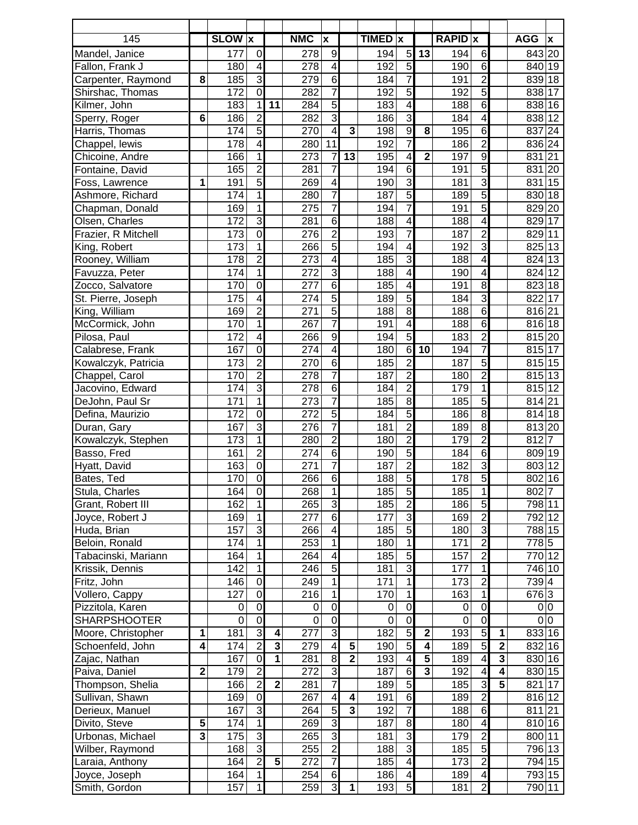| 145                                |                         | <b>SLOW</b> x |                               |                         | <b>NMC</b>       | $\boldsymbol{\mathsf{x}}$        |                         | <b>TIMED</b> X |                              |                         | <b>RAPID</b> x   |                                  |                         | <b>AGG</b>      | $\boldsymbol{x}$ |
|------------------------------------|-------------------------|---------------|-------------------------------|-------------------------|------------------|----------------------------------|-------------------------|----------------|------------------------------|-------------------------|------------------|----------------------------------|-------------------------|-----------------|------------------|
| Mandel, Janice                     |                         | 177           | $\mathbf 0$                   |                         | 278              | $9\,$                            |                         | 194            | 5 <sub>l</sub>               | 13                      | 194              | $6\phantom{1}6$                  |                         | 843 20          |                  |
| Fallon, Frank J                    |                         | 180           | $\overline{4}$                |                         | 278              | $\overline{\mathbf{4}}$          |                         | 192            | $\overline{5}$               |                         | 190              | $\overline{6}$                   |                         | 840             | 19               |
| Carpenter, Raymond                 | 8                       | 185           | $\overline{3}$                |                         | 279              | 6                                |                         | 184            | $\overline{7}$               |                         | 191              | $\overline{2}$                   |                         | 839             | 18               |
| Shirshac, Thomas                   |                         | 172           | $\mathbf 0$                   |                         | 282              | $\overline{7}$                   |                         | 192            | 5                            |                         | 192              | $\overline{5}$                   |                         | 838 17          |                  |
| Kilmer, John                       |                         | 183           | $\mathbf 1$                   | 11                      | 284              | 5                                |                         | 183            | $\overline{\mathbf{A}}$      |                         | 188              | $\overline{6}$                   |                         | 838 16          |                  |
| Sperry, Roger                      | $6\phantom{1}6$         | 186           | $\overline{2}$                |                         | 282              | 3                                |                         | 186            | 3                            |                         | 184              | $\overline{4}$                   |                         | 838 12          |                  |
| Harris, Thomas                     |                         | 174           | $\overline{5}$                |                         | 270              | $\overline{\mathbf{4}}$          | 3                       | 198            | 9                            | 8                       | 195              | $\overline{6}$                   |                         | 837             | 24               |
| Chappel, lewis                     |                         | 178           | $\overline{4}$                |                         | 280              | 11                               |                         | 192            | $\overline{7}$               |                         | 186              | $\overline{2}$                   |                         | 836 24          |                  |
| Chicoine, Andre                    |                         | 166           | $\overline{1}$                |                         | 273              | $\overline{7}$                   | 13                      | 195            | 4                            | $\overline{\mathbf{2}}$ | 197              | $\overline{9}$                   |                         | 831             | $\overline{21}$  |
| Fontaine, David                    |                         | 165           | $\overline{2}$                |                         | 281              | 7                                |                         | 194            | 6                            |                         | 191              | $\overline{5}$                   |                         | 831             | 20               |
| Foss, Lawrence                     | 1                       | 191           | $\overline{5}$                |                         | 269              | 4                                |                         | 190            | 3                            |                         | 181              | 3                                |                         | 831             | 15               |
| Ashmore, Richard                   |                         | 174           | $\overline{1}$                |                         | 280              | 7                                |                         | 187            | $\overline{5}$               |                         | 189              | $\overline{5}$                   |                         | 830             | 18               |
| Chapman, Donald                    |                         | 169           | $\overline{1}$                |                         | $\overline{275}$ | 7                                |                         | 194            | $\overline{7}$               |                         | 191              | $\overline{5}$                   |                         | 829 20          |                  |
| Olsen, Charles                     |                         | 172           | $\overline{3}$                |                         | 281              | 6                                |                         | 188            | $\overline{\mathbf{4}}$      |                         | 188              | $\overline{4}$                   |                         | 829             | 17               |
| Frazier, R Mitchell                |                         | 173           | $\overline{0}$                |                         | $\overline{276}$ | $\overline{2}$                   |                         | 193            | 7                            |                         | 187              | $\overline{2}$                   |                         | 829             | 11               |
| King, Robert                       |                         | 173           | $\overline{1}$                |                         | 266              | 5                                |                         | 194            | $\overline{\mathbf{4}}$      |                         | 192              | $\overline{3}$                   |                         | 825 13          |                  |
| Rooney, William                    |                         | 178           | $\overline{2}$                |                         | 273              | 4                                |                         | 185            | 3                            |                         | 188              | 4                                |                         | 824             | 13               |
| Favuzza, Peter                     |                         | 174           | 1                             |                         | 272              | ω                                |                         | 188            | $\overline{\mathcal{A}}$     |                         | 190              | 4                                |                         | 824             | 12               |
| Zocco, Salvatore                   |                         | 170           | $\overline{0}$                |                         | 277              | 6                                |                         | 185            | 4                            |                         | 191              | $\overline{8}$                   |                         | 823             | 18               |
| St. Pierre, Joseph                 |                         | 175           | 4                             |                         | 274              | $\overline{5}$                   |                         | 189            | 5                            |                         | 184              | $\overline{3}$                   |                         | 822             | 17               |
| King, William                      |                         | 169           | $\overline{2}$                |                         | 271              | $\overline{5}$<br>$\overline{7}$ |                         | 188            | 8                            |                         | 188              | $\overline{6}$                   |                         | 816 21          |                  |
| McCormick, John                    |                         | 170           | $\mathbf 1$<br>$\overline{4}$ |                         | 267              | $\overline{9}$                   |                         | 191<br>194     | $\overline{\mathbf{4}}$<br>5 |                         | 188              | $\overline{6}$<br>$\overline{2}$ |                         | 816 18          |                  |
| Pilosa, Paul                       |                         | 172           | $\overline{0}$                |                         | 266              | 4                                |                         | 180            | $\overline{6}$               | 10                      | 183              | $\overline{7}$                   |                         | 815 20          |                  |
| Calabrese, Frank                   |                         | 167<br>173    | $\overline{2}$                |                         | 274<br>270       | 6                                |                         | 185            | $\overline{2}$               |                         | 194<br>187       | $\overline{5}$                   |                         | 815 17<br>815   | 15               |
| Kowalczyk, Patricia                |                         | 170           | $\overline{2}$                |                         | 278              | 7                                |                         | 187            | $\overline{2}$               |                         | 180              | $\overline{2}$                   |                         | 815             | 13               |
| Chappel, Carol<br>Jacovino, Edward |                         | 174           | $\overline{3}$                |                         | 278              | 6                                |                         | 184            | $\overline{2}$               |                         | 179              | $\overline{1}$                   |                         | 815             | 12               |
| DeJohn, Paul Sr                    |                         | 171           | $\overline{1}$                |                         | 273              | $\overline{7}$                   |                         | 185            | 8                            |                         | 185              | $\overline{5}$                   |                         | 814             | 21               |
| Defina, Maurizio                   |                         | 172           | $\mathbf 0$                   |                         | 272              | 5                                |                         | 184            | 5                            |                         | 186              | $\overline{8}$                   |                         | 814             | 18               |
| Duran, Gary                        |                         | 167           | $\overline{3}$                |                         | 276              | 7                                |                         | 181            | $\overline{2}$               |                         | 189              | $\overline{8}$                   |                         | 813 20          |                  |
| Kowalczyk, Stephen                 |                         | 173           | $\overline{1}$                |                         | 280              | $\overline{2}$                   |                         | 180            | $\overline{2}$               |                         | 179              | $\overline{2}$                   |                         | 812             | $\overline{7}$   |
| Basso, Fred                        |                         | 161           | $\overline{2}$                |                         | 274              | $6\phantom{1}$                   |                         | 190            | $\overline{5}$               |                         | 184              | $\overline{6}$                   |                         | 809 19          |                  |
| Hyatt, David                       |                         | 163           | $\overline{0}$                |                         | 271              | 7                                |                         | 187            | $\overline{2}$               |                         | 182              | $\overline{3}$                   |                         | 803             | 12               |
| Bates, Ted                         |                         | 170           | $\overline{0}$                |                         | 266              | 6                                |                         | 188            | $\overline{5}$               |                         | 178              | $\overline{5}$                   |                         | 802             | 16               |
| Stula, Charles                     |                         | 164           | $\overline{0}$                |                         | 268              | $\mathbf{1}$                     |                         | 185            | 5 <sub>l</sub>               |                         | 185              | $\mathbf{1}$                     |                         | 802 7           |                  |
| Grant, Robert III                  |                         | 162           | $\overline{1}$                |                         | $\overline{265}$ | 3                                |                         | 185            | $\overline{2}$               |                         | 186              | $\overline{5}$                   |                         | 798 11          |                  |
| Joyce, Robert J                    |                         | 169           | $\overline{1}$                |                         | $\overline{277}$ | 6                                |                         | 177            | $\overline{3}$               |                         | 169              | $\overline{2}$                   |                         | 792 12          |                  |
| Huda, Brian                        |                         | 157           | 3                             |                         | 266              | $\overline{\mathcal{A}}$         |                         | 185            | $\overline{5}$               |                         | 180              | $\overline{3}$                   |                         | 788 15          |                  |
| Beloin, Ronald                     |                         | 174           | $\overline{1}$                |                         | 253              | $\mathbf{1}$                     |                         | 180            | $\overline{1}$               |                         | 171              | $\overline{c}$                   |                         | 778 5           |                  |
| Tabacinski, Mariann                |                         | 164           | $\overline{1}$                |                         | 264              | 4                                |                         | 185            | $\overline{5}$               |                         | 157              | $\overline{2}$                   |                         | 770 12          |                  |
| Krissik, Dennis                    |                         | 142           | $\overline{1}$                |                         | 246              | 5                                |                         | 181            | $\overline{3}$               |                         | $\overline{177}$ | $\overline{1}$                   |                         | $\sqrt{746}$ 10 |                  |
| Fritz, John                        |                         | 146           | $\overline{0}$                |                         | 249              | $\mathbf{1}$                     |                         | 171            | $\overline{1}$               |                         | 173              | $\overline{2}$                   |                         | 739 4           |                  |
| Vollero, Cappy                     |                         | 127           | $\overline{0}$                |                         | 216              | 1                                |                         | 170            | $\overline{\phantom{0}}$     |                         | 163              | $\overline{1}$                   |                         | 676 3           |                  |
| Pizzitola, Karen                   |                         | 0             | $\overline{0}$                |                         | 0                | $\mathbf 0$                      |                         | $\pmb{0}$      | $\overline{0}$               |                         | $\mathbf 0$      | $\overline{0}$                   |                         |                 | 0 0              |
| <b>SHARPSHOOTER</b>                |                         | 0             | $\overline{0}$                |                         | $\boldsymbol{0}$ | $\mathbf 0$                      |                         | $\mathbf 0$    | $\overline{0}$               |                         | $\pmb{0}$        | $\overline{0}$                   |                         |                 | 0 0              |
| Moore, Christopher                 | 1                       | 181           | ω                             | 4                       | 277              | ω                                |                         | 182            | $\overline{5}$               | $\overline{\mathbf{2}}$ | 193              | $\overline{5}$                   | 1                       | 833 16          |                  |
| Schoenfeld, John                   | 4                       | 174           | $\overline{2}$                | $\overline{\mathbf{3}}$ | 279              | 4                                | 5                       | 190            | $\overline{5}$               | 4                       | 189              | $\overline{5}$                   | $\overline{\mathbf{2}}$ | 832 16          |                  |
| Zajac, Nathan                      |                         | 167           | $\overline{0}$                | $\overline{1}$          | 281              | 8                                | $\overline{\mathbf{2}}$ | 193            | $\overline{4}$               | 5                       | 189              | $\overline{4}$                   | $\overline{\mathbf{3}}$ | 830 16          |                  |
| Paiva, Daniel                      | $\overline{2}$          | 179           | $\overline{2}$                |                         | 272              | 3                                |                         | 187            | 6                            | 3                       | 192              | $\overline{4}$                   | $\overline{\mathbf{4}}$ | 830 15          |                  |
| Thompson, Shelia                   |                         | 166           | $\overline{2}$                | $\overline{\mathbf{2}}$ | 281              | $\overline{7}$                   |                         | 189            | $\overline{5}$               |                         | 185              | $\overline{3}$                   | $\overline{\mathbf{5}}$ | 821 17          |                  |
| Sullivan, Shawn                    |                         | 169           | $\overline{0}$                |                         | 267              | $\overline{\mathbf{4}}$          | 4                       | 191            | 6                            |                         | 189              | $\overline{2}$                   |                         | 816 12          |                  |
| Derieux, Manuel                    |                         | 167           | $\overline{3}$                |                         | 264              | 5                                | 3                       | 192            | $\overline{7}$               |                         | 188              | $\overline{6}$                   |                         | 811 21          |                  |
| Divito, Steve                      | $\overline{\mathbf{5}}$ | 174           | $\overline{1}$                |                         | 269              | 3                                |                         | 187            | 8                            |                         | 180              | 4                                |                         | 810 16          |                  |
| Urbonas, Michael                   | 3                       | 175           | 3                             |                         | 265              | ω                                |                         | 181            | $\overline{3}$               |                         | 179              | $\overline{2}$                   |                         | 800 11          |                  |
| Wilber, Raymond                    |                         | 168           | $\overline{3}$                |                         | 255              | $\overline{2}$                   |                         | 188            | $\overline{3}$               |                         | 185              | $\overline{5}$                   |                         | 796 13          |                  |
| Laraia, Anthony                    |                         | 164           | $\overline{2}$                | $\overline{\mathbf{5}}$ | 272              | 7                                |                         | 185            | $\overline{4}$               |                         | 173              | $\overline{2}$                   |                         | 794 15          |                  |
| Joyce, Joseph                      |                         | 164           | $\mathbf 1$                   |                         | 254              | $6\phantom{1}$                   |                         | 186            | $\overline{4}$               |                         | 189              | $\overline{4}$                   |                         | 793 15          |                  |
| Smith, Gordon                      |                         | 157           | $\mathbf 1$                   |                         | 259              | $\overline{3}$                   | 1                       | 193            | $\overline{5}$               |                         | 181              | $\overline{2}$                   |                         | 790 11          |                  |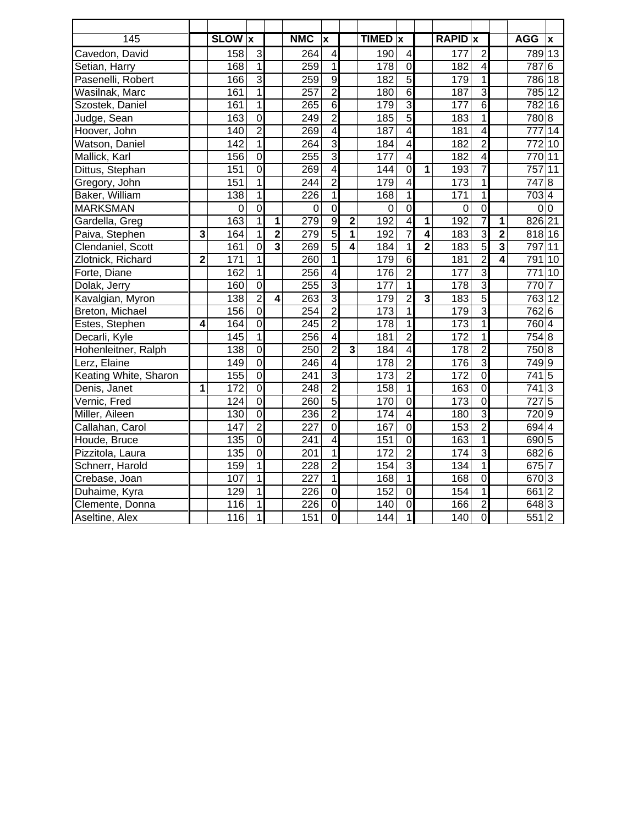| 145                   |                | <b>SLOW</b> x    |                |                         | <b>NMC</b>       | X                       |                         | <b>TIMED</b>     | $\boldsymbol{x}$        |                | <b>RAPID</b> x |                |                         | <b>AGG</b>          | $\boldsymbol{x}$ |
|-----------------------|----------------|------------------|----------------|-------------------------|------------------|-------------------------|-------------------------|------------------|-------------------------|----------------|----------------|----------------|-------------------------|---------------------|------------------|
| Cavedon, David        |                | 158              | 3              |                         | 264              | $\overline{\mathbf{4}}$ |                         | 190              | $\overline{\mathbf{4}}$ |                | 177            | $\overline{2}$ |                         | 789 13              |                  |
| Setian, Harry         |                | 168              | $\overline{1}$ |                         | 259              | 1                       |                         | 178              | $\overline{0}$          |                | 182            | 4              |                         | 787                 | $6\phantom{1}$   |
| Pasenelli, Robert     |                | 166              | 3              |                         | 259              | 9                       |                         | 182              | $\overline{5}$          |                | 179            | 1              |                         | 786 18              |                  |
| Wasilnak, Marc        |                | 161              | $\overline{1}$ |                         | $\overline{257}$ | $\overline{2}$          |                         | 180              | $\overline{6}$          |                | 187            | $\overline{3}$ |                         | 785 12              |                  |
| Szostek, Daniel       |                | 161              | $\overline{1}$ |                         | 265              | $\overline{6}$          |                         | 179              | $\overline{3}$          |                | 177            | $\overline{6}$ |                         | 782 16              |                  |
| Judge, Sean           |                | 163              | $\overline{0}$ |                         | 249              | $\overline{2}$          |                         | 185              | $\overline{5}$          |                | 183            | $\mathbf 1$    |                         | 780 8               |                  |
| Hoover, John          |                | 140              | $\overline{2}$ |                         | 269              | $\overline{4}$          |                         | 187              | $\overline{4}$          |                | 181            | $\overline{4}$ |                         | 777 14              |                  |
| Watson, Daniel        |                | 142              | $\mathbf 1$    |                         | 264              | 3                       |                         | 184              | $\overline{\mathbf{A}}$ |                | 182            | $\overline{2}$ |                         | $\overline{772 10}$ |                  |
| Mallick, Karl         |                | 156              | Ō              |                         | 255              | 3                       |                         | 177              | $\overline{4}$          |                | 182            | 4              |                         | 770 11              |                  |
| Dittus, Stephan       |                | 151              | $\overline{0}$ |                         | 269              | $\overline{4}$          |                         | 144              | $\overline{0}$          | 1              | 193            | $\overline{7}$ |                         | $\overline{757}$    | 11               |
| Gregory, John         |                | 151              | $\overline{1}$ |                         | 244              | $\overline{2}$          |                         | 179              | 4                       |                | 173            | $\overline{1}$ |                         | 747 8               |                  |
| Baker, William        |                | 138              | $\overline{1}$ |                         | 226              | 1                       |                         | 168              | $\mathbf{1}$            |                | 171            | 1              |                         | 703 4               |                  |
| <b>MARKSMAN</b>       |                | $\mathbf 0$      | $\overline{0}$ |                         | $\overline{0}$   | $\overline{0}$          |                         | $\mathbf 0$      | $\overline{0}$          |                | $\overline{0}$ | $\overline{0}$ |                         | $\overline{0 0}$    |                  |
| Gardella, Greg        |                | 163              | $\overline{1}$ | 1                       | 279              | $\overline{9}$          | $\overline{2}$          | 192              | $\overline{4}$          | 1              | 192            | $\overline{7}$ | 1                       | 826 21              |                  |
| Paiva, Stephen        | 3              | 164              | $\overline{1}$ | $\overline{\mathbf{2}}$ | 279              | $\overline{5}$          | $\overline{\mathbf{1}}$ | 192              | 7                       | $\overline{4}$ | 183            | 3              | $\overline{2}$          | 818 16              |                  |
| Clendaniel, Scott     |                | 161              | $\overline{0}$ | $\overline{\mathbf{3}}$ | 269              | $\overline{5}$          | $\overline{4}$          | 184              | $\overline{1}$          | $\overline{2}$ | 183            | $\overline{5}$ | $\overline{\mathbf{3}}$ | 797                 | 11               |
| Zlotnick, Richard     | $\overline{2}$ | 171              | 1              |                         | 260              | $\mathbf{1}$            |                         | 179              | $\overline{6}$          |                | 181            | $\overline{2}$ | 4                       | 791 10              |                  |
| Forte, Diane          |                | 162              | $\overline{1}$ |                         | 256              | $\overline{4}$          |                         | 176              | $\overline{2}$          |                | 177            | $\overline{3}$ |                         | 771 10              |                  |
| Dolak, Jerry          |                | 160              | $\overline{0}$ |                         | 255              | 3                       |                         | 177              | $\overline{1}$          |                | 178            | $\overline{3}$ |                         | 770 7               |                  |
| Kavalgian, Myron      |                | 138              | $\overline{2}$ | $\overline{\mathbf{4}}$ | 263              | $\overline{3}$          |                         | 179              | $\overline{2}$          | $\overline{3}$ | 183            | $\overline{5}$ |                         | 763 12              |                  |
| Breton, Michael       |                | 156              | $\overline{0}$ |                         | 254              | $\overline{2}$          |                         | $\overline{173}$ | 1                       |                | 179            | $\overline{3}$ |                         | 762 6               |                  |
| Estes, Stephen        | 4              | 164              | $\overline{0}$ |                         | 245              | $\overline{2}$          |                         | $\overline{178}$ | $\overline{1}$          |                | 173            | $\mathbf 1$    |                         | 760 4               |                  |
| Decarli, Kyle         |                | 145              | $\overline{1}$ |                         | 256              | $\overline{\mathbf{4}}$ |                         | 181              | $\overline{2}$          |                | 172            | $\mathbf 1$    |                         | $754\overline{8}$   |                  |
| Hohenleitner, Ralph   |                | 138              | $\overline{0}$ |                         | 250              | $\overline{2}$          | $\overline{\mathbf{3}}$ | 184              | $\overline{4}$          |                | 178            | $\overline{2}$ |                         | $750\overline{8}$   |                  |
| Lerz, Elaine          |                | 149              | $\overline{0}$ |                         | 246              | $\overline{4}$          |                         | $\overline{178}$ | $\overline{2}$          |                | 176            | $\overline{3}$ |                         | 749 9               |                  |
| Keating White, Sharon |                | 155              | $\overline{0}$ |                         | 241              | $\overline{3}$          |                         | 173              | $\overline{2}$          |                | 172            | $\overline{0}$ |                         | 741 5               |                  |
| Denis, Janet          | 1              | $\overline{172}$ | $\overline{0}$ |                         | $\overline{248}$ | $\overline{2}$          |                         | 158              | $\overline{1}$          |                | 163            | $\overline{0}$ |                         | 741 3               |                  |
| Vernic, Fred          |                | 124              | $\overline{0}$ |                         | 260              | $\overline{5}$          |                         | 170              | $\overline{0}$          |                | 173            | $\overline{0}$ |                         | 727 5               |                  |
| Miller, Aileen        |                | 130              | $\overline{0}$ |                         | 236              | $\overline{2}$          |                         | 174              | 4                       |                | 180            | $\overline{3}$ |                         | 720 9               |                  |
| Callahan, Carol       |                | 147              | $\overline{2}$ |                         | $\overline{227}$ | $\overline{0}$          |                         | 167              | 0                       |                | 153            | $\overline{2}$ |                         | $694\overline{4}$   |                  |
| Houde, Bruce          |                | 135              | O              |                         | 241              | 4                       |                         | 151              | $\overline{0}$          |                | 163            | $\mathbf{1}$   |                         | 690 5               |                  |
| Pizzitola, Laura      |                | 135              | $\overline{0}$ |                         | 201              | $\mathbf{1}$            |                         | 172              | $\overline{2}$          |                | 174            | $\overline{3}$ |                         | 682 6               |                  |
| Schnerr, Harold       |                | 159              | $\overline{1}$ |                         | 228              | $\overline{2}$          |                         | 154              | $\overline{3}$          |                | 134            | $\overline{1}$ |                         | 675 7               |                  |
| Crebase, Joan         |                | 107              | $\overline{1}$ |                         | 227              | $\overline{1}$          |                         | 168              | $\overline{1}$          |                | 168            | $\overline{0}$ |                         | 670 3               |                  |
| Duhaime, Kyra         |                | 129              | $\overline{1}$ |                         | 226              | $\overline{0}$          |                         | 152              | $\overline{0}$          |                | 154            | $\overline{1}$ |                         | $661$ <sub>2</sub>  |                  |
| Clemente, Donna       |                | 116              | $\overline{1}$ |                         | 226              | $\overline{0}$          |                         | 140              | $\overline{0}$          |                | 166            | $\overline{2}$ |                         | 648 3               |                  |
| Aseltine, Alex        |                | 116              | $\overline{1}$ |                         | 151              | $\overline{0}$          |                         | 144              | $\overline{1}$          |                | 140            | $\overline{0}$ |                         | 551 2               |                  |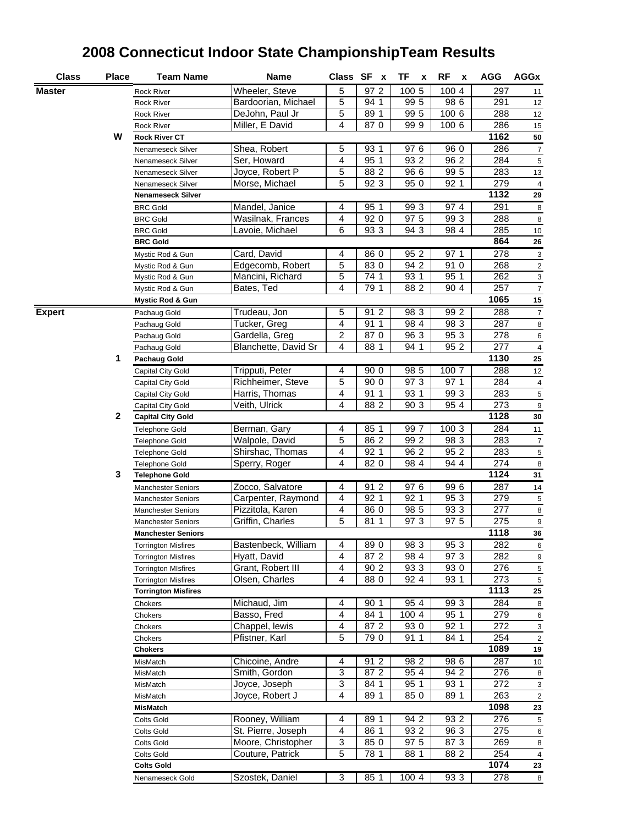| <b>Class</b>  | Place        | <b>Team Name</b>                               | <b>Name</b>          |                         | Class SF x        | TF<br>X      | RF<br>X      | <b>AGG</b> | <b>AGGx</b>       |
|---------------|--------------|------------------------------------------------|----------------------|-------------------------|-------------------|--------------|--------------|------------|-------------------|
| Master        |              | Rock River                                     | Wheeler, Steve       | 5                       | 97 2              | 100 5        | 100 4        | 297        | 11                |
|               |              | <b>Rock River</b>                              | Bardoorian, Michael  | 5                       | 94 1              | 99 5         | 98 6         | 291        | 12                |
|               |              | Rock River                                     | DeJohn, Paul Jr      | 5                       | 89 1              | 99 5         | 100 6        | 288        | 12                |
|               |              | Rock River                                     | Miller, E David      | 4                       | 870               | 999          | 100 6        | 286        | 15                |
|               | W            | <b>Rock River CT</b>                           |                      |                         |                   |              |              | 1162       | 50                |
|               |              | Nenameseck Silver                              | Shea, Robert         | 5                       | 93 1              | 976          | 96 0         | 286        | 7                 |
|               |              | Nenameseck Silver                              | Ser, Howard          | 4                       | 95 1              | 93 2         | 96 2         | 284        | $\sqrt{5}$        |
|               |              | Nenameseck Silver                              | Joyce, Robert P      | 5                       | 88 2              | 96 6         | 99 5         | 283        | 13                |
|               |              | Nenameseck Silver                              | Morse, Michael       | 5                       | 92 3              | 95 0         | 92 1         | 279        | $\overline{4}$    |
|               |              | <b>Nenameseck Silver</b>                       | 1132                 | 29                      |                   |              |              |            |                   |
|               |              | <b>BRC Gold</b>                                | Mandel, Janice       | 4                       | 95 1              | 99 3         | 974          | 291        | 8                 |
|               |              | <b>BRC Gold</b>                                | Wasilnak, Frances    | 4                       | 92 0              | 97 5         | 99 3         | 288        | 8                 |
|               |              | <b>BRC Gold</b>                                | Lavoie, Michael      | 6                       | 93 3              | 94 3         | 98 4         | 285        | $10$              |
|               |              | <b>BRC Gold</b>                                |                      |                         |                   |              |              | 864        | 26                |
|               |              | Mystic Rod & Gun                               | Card, David          | 4                       | 86 0              | 952          | 97 1         | 278        | 3                 |
|               |              | Mystic Rod & Gun                               | Edgecomb, Robert     | 5                       | 830               | 94 2         | 91 0         | 268        | $\sqrt{2}$        |
|               |              | Mystic Rod & Gun                               | Mancini, Richard     | 5                       | 74 1              | 93 1         | 95 1         | 262        | 3                 |
|               |              | Mystic Rod & Gun                               | Bates, Ted           | 4                       | 79 1              | 88 2         | 90 4         | 257        | $\overline{7}$    |
|               |              | <b>Mystic Rod &amp; Gun</b>                    |                      |                         |                   |              |              | 1065       | 15                |
| <b>Expert</b> |              | Pachaug Gold                                   | Trudeau, Jon         | 5                       | 91 2              | 98 3         | 99 2         | 288        | 7                 |
|               |              | Pachaug Gold                                   | Tucker, Greg         | $\overline{\mathbf{4}}$ | 91 1              | 98 4         | 98 3         | 287        | 8                 |
|               |              | Pachaug Gold                                   | Gardella, Greg       | 2                       | 870               | 96 3         | 95 3         | 278        | $\,6\,$           |
|               |              | Pachaug Gold                                   | Blanchette, David Sr | 4                       | 88 1              | 94 1         | 95 2         | 277        | $\overline{4}$    |
|               | 1            | <b>Pachaug Gold</b>                            |                      |                         |                   |              |              | 1130       | 25                |
|               |              | Capital City Gold                              | Tripputi, Peter      | 4                       | 90 0              | 98 5         | 100 7        | 288        | 12                |
|               |              | Capital City Gold                              | Richheimer, Steve    | 5                       | 90 0              | 97 3         | 97 1         | 284        | $\overline{4}$    |
|               |              | Capital City Gold                              | Harris, Thomas       | 4                       | 91 1              | 93 1         | 993          | 283        | $\,$ 5 $\,$       |
|               |              | Capital City Gold                              | Veith, Ulrick        | 4                       | 88 2              | 90 3         | 95 4         | 273        | 9                 |
|               | $\mathbf{2}$ | Capital City Gold                              |                      |                         |                   |              |              | 1128       | 30                |
|               |              | Telephone Gold                                 | Berman, Gary         | 4                       | 85 1              | 997          | 1003         | 284        | 11                |
|               |              | Telephone Gold                                 | Walpole, David       | 5                       | $86\overline{2}$  | 99 2         | 98 3         | 283        | $\overline{7}$    |
|               |              | <b>Telephone Gold</b>                          | Shirshac, Thomas     | 4<br>4                  | 92 1<br>82 0      | 96 2<br>98 4 | 95 2<br>94 4 | 283<br>274 | $\,$ 5 $\,$       |
|               | 3            | <b>Telephone Gold</b><br><b>Telephone Gold</b> | Sperry, Roger        |                         |                   |              |              | 1124       | 8<br>31           |
|               |              | <b>Manchester Seniors</b>                      | Zocco, Salvatore     | 4                       | 91 2              | 976          | 99 6         | 287        |                   |
|               |              | <b>Manchester Seniors</b>                      | Carpenter, Raymond   | 4                       | 92 1              | 92 1         | 95 3         | 279        | 14<br>$\,$ 5 $\,$ |
|               |              | <b>Manchester Seniors</b>                      | Pizzitola, Karen     | 4                       | 86 0              | 98 5         | 93 3         | 277        | $\bf8$            |
|               |              | <b>Manchester Seniors</b>                      | Griffin, Charles     | 5                       | 81 1              | 973          | 97 5         | 275        | $\boldsymbol{9}$  |
|               |              | <b>Manchester Seniors</b>                      |                      |                         |                   |              |              | 1118       | 36                |
|               |              | <b>Torrington Misfires</b>                     | Bastenbeck, William  | 4                       | $\overline{89}$ 0 | 98 3         | 95 3         | 282        | 6                 |
|               |              | <b>Torrington Misfires</b>                     | Hyatt, David         | 4                       | 87 2              | 98 4         | 97 3         | 282        | 9                 |
|               |              | <b>Torrington MIsfires</b>                     | Grant, Robert III    | 4                       | 90 2              | 93 3         | 93 0         | 276        | 5                 |
|               |              | <b>Torrington Misfires</b>                     | Olsen, Charles       | 4                       | 88 0              | 92 4         | 93 1         | 273        | 5                 |
|               |              | <b>Torrington Misfires</b>                     |                      |                         |                   |              |              | 1113       | 25                |
|               |              | Chokers                                        | Michaud, Jim         | 4                       | 90 1              | 954          | 99 3         | 284        | 8                 |
|               |              | Chokers                                        | Basso, Fred          | 4                       | 84 1              | 100 4        | 95 1         | 279        | 6                 |
|               |              | Chokers                                        | Chappel, lewis       | 4                       | 87 2              | 93 0         | 92 1         | 272        | 3                 |
|               |              | Chokers                                        | Pfistner, Karl       | 5                       | 790               | 91 1         | 84 1         | 254        | 2                 |
|               |              | <b>Chokers</b>                                 |                      |                         |                   |              |              | 1089       | 19                |
|               |              | MisMatch                                       | Chicoine, Andre      | 4                       | 91 2              | 98 2         | 98 6         | 287        | 10                |
|               |              | MisMatch                                       | Smith, Gordon        | 3                       | 87 2              | 95 4         | 94 2         | 276        | 8                 |
|               |              | MisMatch                                       | Joyce, Joseph        | 3                       | 84 1              | 95 1         | 93 1         | 272        | 3                 |
|               |              | MisMatch                                       | Joyce, Robert J      | 4                       | 89 1              | 85 0         | 89 1         | 263        | $\mathbf 2$       |
|               |              | <b>MisMatch</b>                                |                      |                         |                   |              |              | 1098       | 23                |
|               |              | Colts Gold                                     | Rooney, William      | 4                       | 89 1              | 94 2         | 93 2         | 276        | 5                 |
|               |              | Colts Gold                                     | St. Pierre, Joseph   | 4                       | 86 1              | 93 2         | 96 3         | 275        | 6                 |
|               |              | Colts Gold                                     | Moore, Christopher   | 3                       | 85 0              | 97 5         | 87 3         | 269        | 8                 |
|               |              | Colts Gold                                     | Couture, Patrick     | 5                       | 78 1              | 88 1         | 88 2         | 254        | $\overline{a}$    |
|               |              | <b>Colts Gold</b>                              |                      |                         |                   |              |              | 1074       | 23                |
|               |              | Nenameseck Gold                                | Szostek, Daniel      | 3                       | 85 1              | 100 4        | 93 3         | 278        | 8                 |

## **2008 Connecticut Indoor State ChampionshipTeam Results**